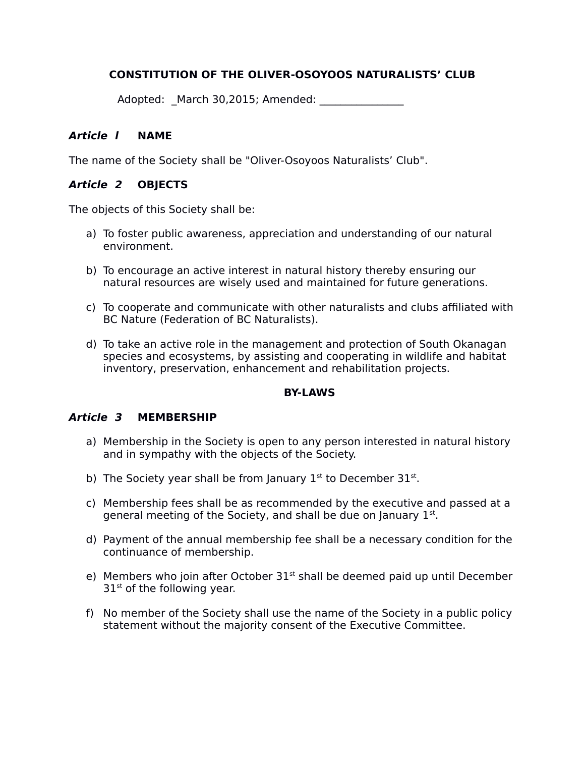# **CONSTITUTION OF THE OLIVER-OSOYOOS NATURALISTS' CLUB**

Adopted: \_March 30,2015; Amended: \_\_\_\_\_\_\_\_\_\_\_\_\_\_\_\_

#### **Article l NAME**

The name of the Society shall be "Oliver-Osoyoos Naturalists' Club".

### **Article 2 OBJECTS**

The objects of this Society shall be:

- a) To foster public awareness, appreciation and understanding of our natural environment.
- b) To encourage an active interest in natural history thereby ensuring our natural resources are wisely used and maintained for future generations.
- c) To cooperate and communicate with other naturalists and clubs affiliated with BC Nature (Federation of BC Naturalists).
- d) To take an active role in the management and protection of South Okanagan species and ecosystems, by assisting and cooperating in wildlife and habitat inventory, preservation, enhancement and rehabilitation projects.

#### **BY-LAWS**

#### **Article 3 MEMBERSHIP**

- a) Membership in the Society is open to any person interested in natural history and in sympathy with the objects of the Society.
- b) The Society year shall be from January  $1^{st}$  to December  $31^{st}$ .
- c) Membership fees shall be as recommended by the executive and passed at a general meeting of the Society, and shall be due on January  $1<sup>st</sup>$ .
- d) Payment of the annual membership fee shall be a necessary condition for the continuance of membership.
- e) Members who join after October  $31<sup>st</sup>$  shall be deemed paid up until December  $31<sup>st</sup>$  of the following year.
- f) No member of the Society shall use the name of the Society in a public policy statement without the majority consent of the Executive Committee.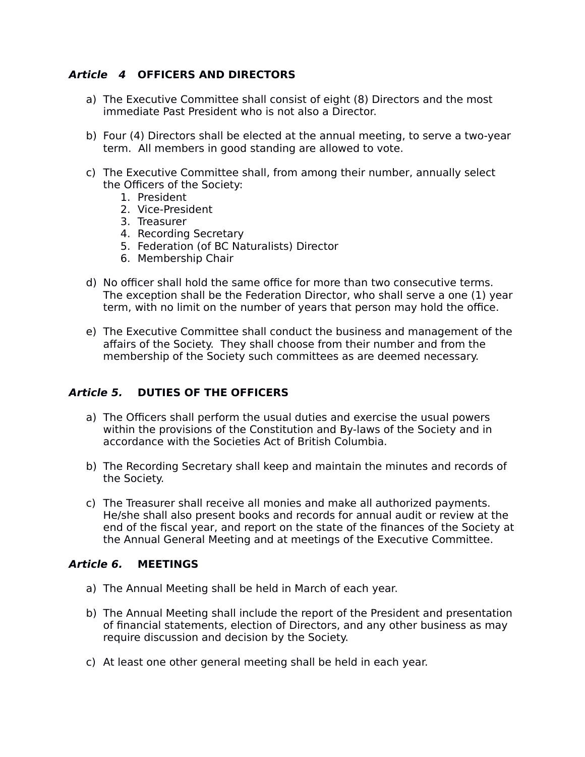# **Article 4 OFFICERS AND DIRECTORS**

- a) The Executive Committee shall consist of eight (8) Directors and the most immediate Past President who is not also a Director.
- b) Four (4) Directors shall be elected at the annual meeting, to serve a two-year term. All members in good standing are allowed to vote.
- c) The Executive Committee shall, from among their number, annually select the Officers of the Society:
	- 1. President
	- 2. Vice-President
	- 3. Treasurer
	- 4. Recording Secretary
	- 5. Federation (of BC Naturalists) Director
	- 6. Membership Chair
- d) No officer shall hold the same office for more than two consecutive terms. The exception shall be the Federation Director, who shall serve a one (1) year term, with no limit on the number of years that person may hold the office.
- e) The Executive Committee shall conduct the business and management of the affairs of the Society. They shall choose from their number and from the membership of the Society such committees as are deemed necessary.

#### **Article 5. DUTIES OF THE OFFICERS**

- a) The Officers shall perform the usual duties and exercise the usual powers within the provisions of the Constitution and By-laws of the Society and in accordance with the Societies Act of British Columbia.
- b) The Recording Secretary shall keep and maintain the minutes and records of the Society.
- c) The Treasurer shall receive all monies and make all authorized payments. He/she shall also present books and records for annual audit or review at the end of the fiscal year, and report on the state of the finances of the Society at the Annual General Meeting and at meetings of the Executive Committee.

#### **Article 6. MEETINGS**

- a) The Annual Meeting shall be held in March of each year.
- b) The Annual Meeting shall include the report of the President and presentation of financial statements, election of Directors, and any other business as may require discussion and decision by the Society.
- c) At least one other general meeting shall be held in each year.